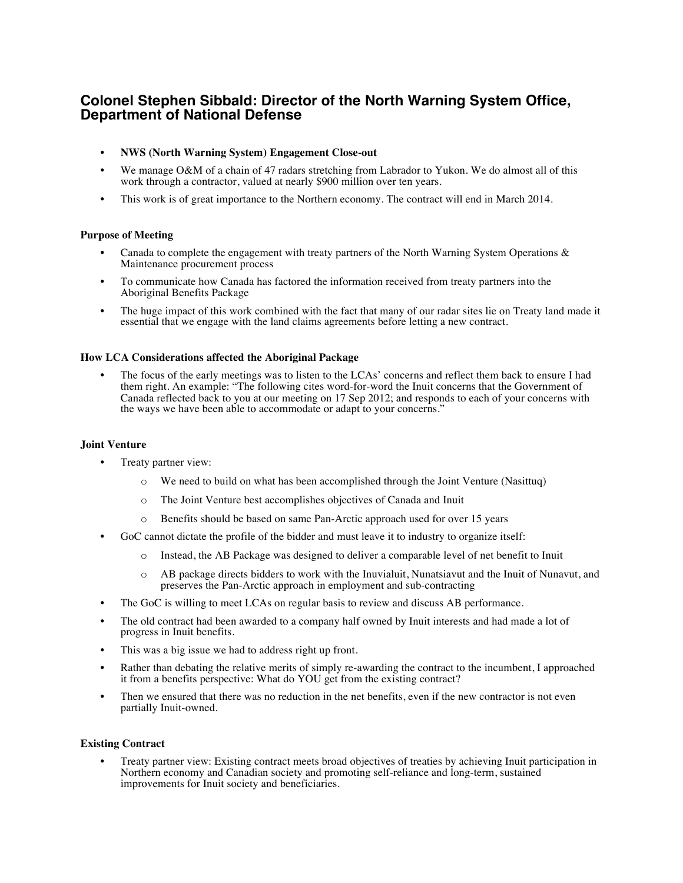# **Colonel Stephen Sibbald: Director of the North Warning System Office, Department of National Defense**

- **NWS (North Warning System) Engagement Close-out**
- We manage O&M of a chain of 47 radars stretching from Labrador to Yukon. We do almost all of this work through a contractor, valued at nearly \$900 million over ten years.
- This work is of great importance to the Northern economy. The contract will end in March 2014.

## **Purpose of Meeting**

- Canada to complete the engagement with treaty partners of the North Warning System Operations  $\&$ Maintenance procurement process
- To communicate how Canada has factored the information received from treaty partners into the Aboriginal Benefits Package
- The huge impact of this work combined with the fact that many of our radar sites lie on Treaty land made it essential that we engage with the land claims agreements before letting a new contract.

#### **How LCA Considerations affected the Aboriginal Package**

The focus of the early meetings was to listen to the LCAs' concerns and reflect them back to ensure I had them right. An example: "The following cites word-for-word the Inuit concerns that the Government of Canada reflected back to you at our meeting on 17 Sep 2012; and responds to each of your concerns with the ways we have been able to accommodate or adapt to your concerns."

#### **Joint Venture**

- Treaty partner view:
	- o We need to build on what has been accomplished through the Joint Venture (Nasittuq)
	- o The Joint Venture best accomplishes objectives of Canada and Inuit
	- o Benefits should be based on same Pan-Arctic approach used for over 15 years
- GoC cannot dictate the profile of the bidder and must leave it to industry to organize itself:
	- o Instead, the AB Package was designed to deliver a comparable level of net benefit to Inuit
	- o AB package directs bidders to work with the Inuvialuit, Nunatsiavut and the Inuit of Nunavut, and preserves the Pan-Arctic approach in employment and sub-contracting
- The GoC is willing to meet LCAs on regular basis to review and discuss AB performance.
- The old contract had been awarded to a company half owned by Inuit interests and had made a lot of progress in Inuit benefits.
- This was a big issue we had to address right up front.
- Rather than debating the relative merits of simply re-awarding the contract to the incumbent, I approached it from a benefits perspective: What do YOU get from the existing contract?
- Then we ensured that there was no reduction in the net benefits, even if the new contractor is not even partially Inuit-owned.

#### **Existing Contract**

• Treaty partner view: Existing contract meets broad objectives of treaties by achieving Inuit participation in Northern economy and Canadian society and promoting self-reliance and long-term, sustained improvements for Inuit society and beneficiaries.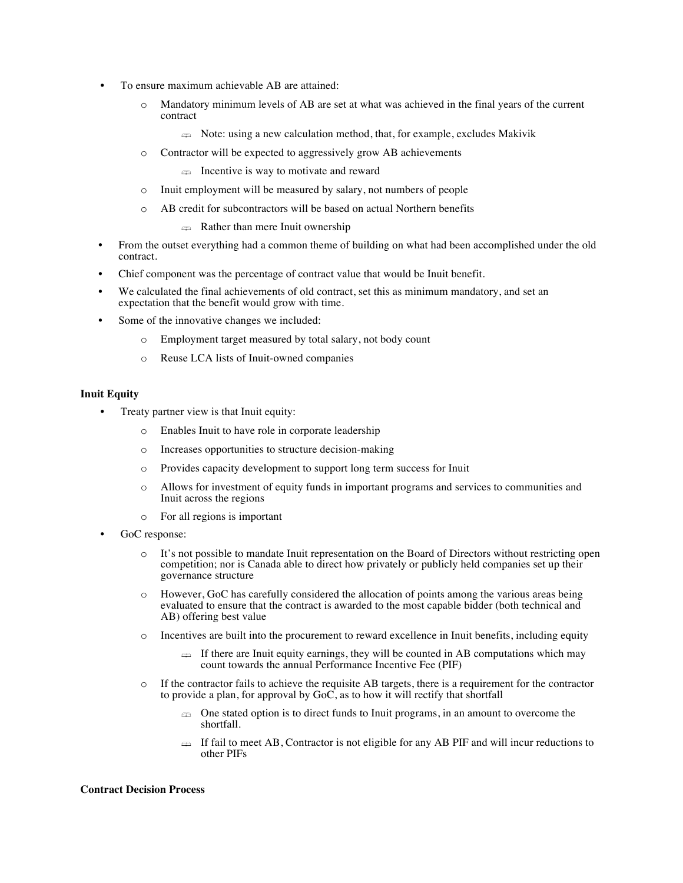- To ensure maximum achievable AB are attained:
	- o Mandatory minimum levels of AB are set at what was achieved in the final years of the current contract
		- $\triangleq$  Note: using a new calculation method, that, for example, excludes Makivik
	- o Contractor will be expected to aggressively grow AB achievements
		- $\triangleq$  Incentive is way to motivate and reward
	- o Inuit employment will be measured by salary, not numbers of people
	- o AB credit for subcontractors will be based on actual Northern benefits
		- **Example 2** Rather than mere Inuit ownership
- From the outset everything had a common theme of building on what had been accomplished under the old contract.
- Chief component was the percentage of contract value that would be Inuit benefit.
- We calculated the final achievements of old contract, set this as minimum mandatory, and set an expectation that the benefit would grow with time.
- Some of the innovative changes we included:
	- o Employment target measured by total salary, not body count
	- o Reuse LCA lists of Inuit-owned companies

#### **Inuit Equity**

- Treaty partner view is that Inuit equity:
	- o Enables Inuit to have role in corporate leadership
	- o Increases opportunities to structure decision-making
	- o Provides capacity development to support long term success for Inuit
	- o Allows for investment of equity funds in important programs and services to communities and Inuit across the regions
	- o For all regions is important
- GoC response:
	- o It's not possible to mandate Inuit representation on the Board of Directors without restricting open competition; nor is Canada able to direct how privately or publicly held companies set up their governance structure
	- o However, GoC has carefully considered the allocation of points among the various areas being evaluated to ensure that the contract is awarded to the most capable bidder (both technical and AB) offering best value
	- o Incentives are built into the procurement to reward excellence in Inuit benefits, including equity
		- $\oplus$  If there are Inuit equity earnings, they will be counted in AB computations which may count towards the annual Performance Incentive Fee (PIF)
	- o If the contractor fails to achieve the requisite AB targets, there is a requirement for the contractor to provide a plan, for approval by  $GoC$ , as to how it will rectify that shortfall
		- $\implies$  One stated option is to direct funds to Inuit programs, in an amount to overcome the shortfall.
		- $\Rightarrow$  If fail to meet AB, Contractor is not eligible for any AB PIF and will incur reductions to other PIFs

#### **Contract Decision Process**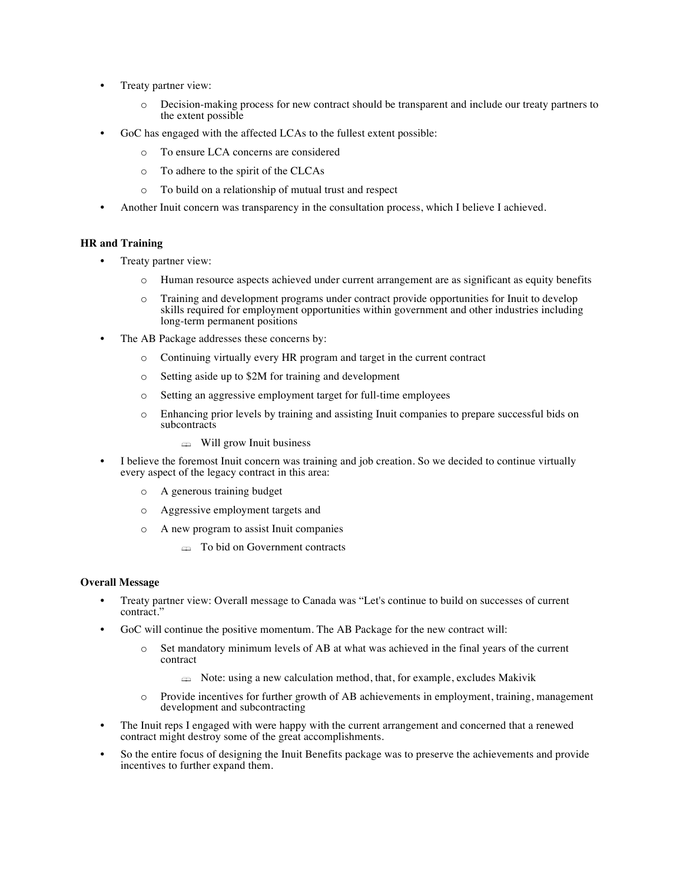- Treaty partner view:
	- o Decision-making process for new contract should be transparent and include our treaty partners to the extent possible
- GoC has engaged with the affected LCAs to the fullest extent possible:
	- o To ensure LCA concerns are considered
	- o To adhere to the spirit of the CLCAs
	- o To build on a relationship of mutual trust and respect
- Another Inuit concern was transparency in the consultation process, which I believe I achieved.

## **HR and Training**

- Treaty partner view:
	- o Human resource aspects achieved under current arrangement are as significant as equity benefits
	- o Training and development programs under contract provide opportunities for Inuit to develop skills required for employment opportunities within government and other industries including long-term permanent positions
- The AB Package addresses these concerns by:
	- o Continuing virtually every HR program and target in the current contract
	- o Setting aside up to \$2M for training and development
	- o Setting an aggressive employment target for full-time employees
	- o Enhancing prior levels by training and assisting Inuit companies to prepare successful bids on subcontracts
		- $\triangleq$  Will grow Inuit business
- I believe the foremost Inuit concern was training and job creation. So we decided to continue virtually every aspect of the legacy contract in this area:
	- o A generous training budget
	- o Aggressive employment targets and
	- o A new program to assist Inuit companies
		- **Example 15 To bid on Government contracts**

# **Overall Message**

- Treaty partner view: Overall message to Canada was "Let's continue to build on successes of current contract."
- GoC will continue the positive momentum. The AB Package for the new contract will:
	- o Set mandatory minimum levels of AB at what was achieved in the final years of the current contract
		- $\triangleq$  Note: using a new calculation method, that, for example, excludes Makivik
	- o Provide incentives for further growth of AB achievements in employment, training, management development and subcontracting
- The Inuit reps I engaged with were happy with the current arrangement and concerned that a renewed contract might destroy some of the great accomplishments.
- So the entire focus of designing the Inuit Benefits package was to preserve the achievements and provide incentives to further expand them.